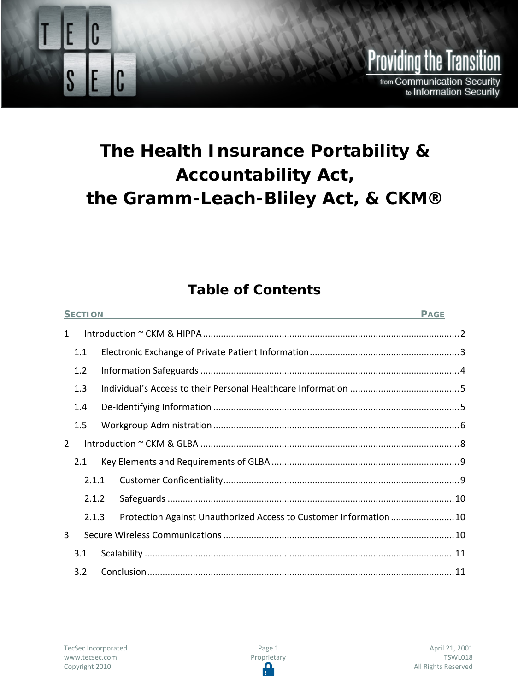

# **The Health Insurance Portability & Accountability Act, the Gramm-Leach-Bliley Act, & CKM®**

# **Table of Contents**

| <b>SECTION</b> |     |       |                                                                   | <b>PAGE</b> |  |
|----------------|-----|-------|-------------------------------------------------------------------|-------------|--|
| $\mathbf{1}$   |     |       |                                                                   |             |  |
|                | 1.1 |       |                                                                   |             |  |
|                | 1.2 |       |                                                                   |             |  |
|                | 1.3 |       |                                                                   |             |  |
|                | 1.4 |       |                                                                   |             |  |
|                | 1.5 |       |                                                                   |             |  |
| $\overline{2}$ |     |       |                                                                   |             |  |
|                | 2.1 |       |                                                                   |             |  |
|                |     | 2.1.1 |                                                                   |             |  |
|                |     | 2.1.2 |                                                                   |             |  |
|                |     | 2.1.3 | Protection Against Unauthorized Access to Customer Information 10 |             |  |
| 3              |     |       |                                                                   |             |  |
|                | 3.1 |       |                                                                   |             |  |
|                | 3.2 |       |                                                                   |             |  |

Page 1 Proprietary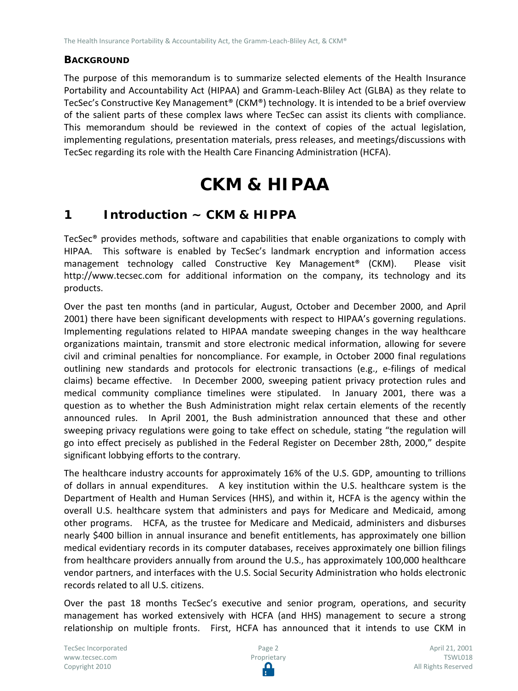### **BACKGROUND**

The purpose of this memorandum is to summarize selected elements of the Health Insurance Portability and Accountability Act (HIPAA) and Gramm-Leach-Bliley Act (GLBA) as they relate to TecSec's Constructive Key Management® (CKM®) technology. It is intended to be a brief overview of the salient parts of these complex laws where TecSec can assist its clients with compliance. This memorandum should be reviewed in the context of copies of the actual legislation, implementing regulations, presentation materials, press releases, and meetings/discussions with TecSec regarding its role with the Health Care Financing Administration (HCFA).

# **CKM & HIPAA**

# <span id="page-1-0"></span>**1 Introduction ~ CKM & HIPPA**

TecSec® provides methods, software and capabilities that enable organizations to comply with HIPAA. This software is enabled by TecSec's landmark encryption and information access management technology called Constructive Key Management® (CKM). Please visit http://www.tecsec.com for additional information on the company, its technology and its products.

Over the past ten months (and in particular, August, October and December 2000, and April 2001) there have been significant developments with respect to HIPAA's governing regulations. Implementing regulations related to HIPAA mandate sweeping changes in the way healthcare organizations maintain, transmit and store electronic medical information, allowing for severe civil and criminal penalties for noncompliance. For example, in October 2000 final regulations outlining new standards and protocols for electronic transactions (e.g., e-filings of medical claims) became effective. In December 2000, sweeping patient privacy protection rules and medical community compliance timelines were stipulated. In January 2001, there was a question as to whether the Bush Administration might relax certain elements of the recently announced rules. In April 2001, the Bush administration announced that these and other sweeping privacy regulations were going to take effect on schedule, stating "the regulation will go into effect precisely as published in the Federal Register on December 28th, 2000," despite significant lobbying efforts to the contrary.

The healthcare industry accounts for approximately 16% of the U.S. GDP, amounting to trillions of dollars in annual expenditures. A key institution within the U.S. healthcare system is the Department of Health and Human Services (HHS), and within it, HCFA is the agency within the overall U.S. healthcare system that administers and pays for Medicare and Medicaid, among other programs. HCFA, as the trustee for Medicare and Medicaid, administers and disburses nearly \$400 billion in annual insurance and benefit entitlements, has approximately one billion medical evidentiary records in its computer databases, receives approximately one billion filings from healthcare providers annually from around the U.S., has approximately 100,000 healthcare vendor partners, and interfaces with the U.S. Social Security Administration who holds electronic records related to all U.S. citizens.

Over the past 18 months TecSec's executive and senior program, operations, and security management has worked extensively with HCFA (and HHS) management to secure a strong relationship on multiple fronts. First, HCFA has announced that it intends to use CKM in

TecSec Incorporated [www.tecsec.com](http://www.tecsec.com/) Copyright 2010

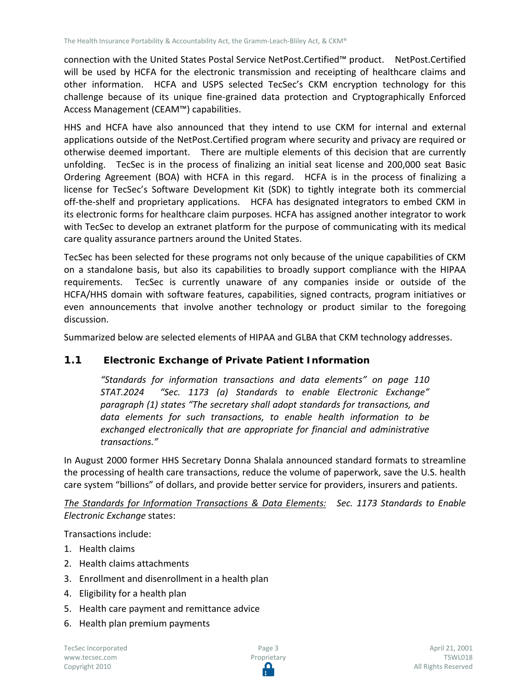connection with the United States Postal Service NetPost.Certified™ product. NetPost.Certified will be used by HCFA for the electronic transmission and receipting of healthcare claims and other information. HCFA and USPS selected TecSec's CKM encryption technology for this challenge because of its unique fine-grained data protection and Cryptographically Enforced Access Management (CEAM™) capabilities.

HHS and HCFA have also announced that they intend to use CKM for internal and external applications outside of the NetPost.Certified program where security and privacy are required or otherwise deemed important. There are multiple elements of this decision that are currently unfolding. TecSec is in the process of finalizing an initial seat license and 200,000 seat Basic Ordering Agreement (BOA) with HCFA in this regard. HCFA is in the process of finalizing a license for TecSec's Software Development Kit (SDK) to tightly integrate both its commercial off-the-shelf and proprietary applications. HCFA has designated integrators to embed CKM in its electronic forms for healthcare claim purposes. HCFA has assigned another integrator to work with TecSec to develop an extranet platform for the purpose of communicating with its medical care quality assurance partners around the United States.

TecSec has been selected for these programs not only because of the unique capabilities of CKM on a standalone basis, but also its capabilities to broadly support compliance with the HIPAA requirements. TecSec is currently unaware of any companies inside or outside of the HCFA/HHS domain with software features, capabilities, signed contracts, program initiatives or even announcements that involve another technology or product similar to the foregoing discussion.

Summarized below are selected elements of HIPAA and GLBA that CKM technology addresses.

## <span id="page-2-0"></span>**1.1 Electronic Exchange of Private Patient Information**

*"Standards for information transactions and data elements" on page 110 STAT.2024 "Sec. 1173 (a) Standards to enable Electronic Exchange" paragraph (1) states "The secretary shall adopt standards for transactions, and data elements for such transactions, to enable health information to be exchanged electronically that are appropriate for financial and administrative transactions."* 

In August 2000 former HHS Secretary Donna Shalala announced standard formats to streamline the processing of health care transactions, reduce the volume of paperwork, save the U.S. health care system "billions" of dollars, and provide better service for providers, insurers and patients.

*The Standards for Information Transactions & Data Elements: Sec. 1173 Standards to Enable Electronic Exchange* states:

Transactions include:

- 1. Health claims
- 2. Health claims attachments
- 3. Enrollment and disenrollment in a health plan
- 4. Eligibility for a health plan
- 5. Health care payment and remittance advice
- 6. Health plan premium payments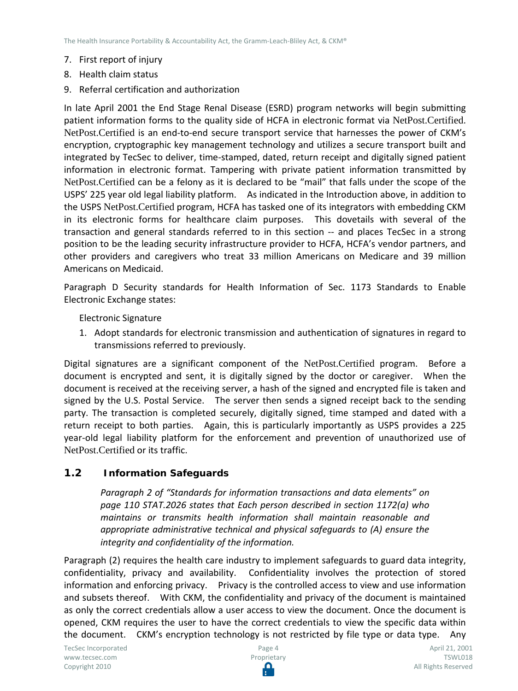- 7. First report of injury
- 8. Health claim status
- 9. Referral certification and authorization

In late April 2001 the End Stage Renal Disease (ESRD) program networks will begin submitting patient information forms to the quality side of HCFA in electronic format via NetPost.Certified. NetPost.Certified is an end-to-end secure transport service that harnesses the power of CKM's encryption, cryptographic key management technology and utilizes a secure transport built and integrated by TecSec to deliver, time-stamped, dated, return receipt and digitally signed patient information in electronic format. Tampering with private patient information transmitted by NetPost.Certified can be a felony as it is declared to be "mail" that falls under the scope of the USPS' 225 year old legal liability platform. As indicated in the Introduction above, in addition to the USPS NetPost.Certified program, HCFA has tasked one of its integrators with embedding CKM in its electronic forms for healthcare claim purposes. This dovetails with several of the transaction and general standards referred to in this section -- and places TecSec in a strong position to be the leading security infrastructure provider to HCFA, HCFA's vendor partners, and other providers and caregivers who treat 33 million Americans on Medicare and 39 million Americans on Medicaid.

Paragraph D Security standards for Health Information of Sec. 1173 Standards to Enable Electronic Exchange states:

Electronic Signature

1. Adopt standards for electronic transmission and authentication of signatures in regard to transmissions referred to previously.

Digital signatures are a significant component of the NetPost.Certified program. Before a document is encrypted and sent, it is digitally signed by the doctor or caregiver. When the document is received at the receiving server, a hash of the signed and encrypted file is taken and signed by the U.S. Postal Service. The server then sends a signed receipt back to the sending party. The transaction is completed securely, digitally signed, time stamped and dated with a return receipt to both parties. Again, this is particularly importantly as USPS provides a 225 year-old legal liability platform for the enforcement and prevention of unauthorized use of NetPost.Certified or its traffic.

## <span id="page-3-0"></span>**1.2 Information Safeguards**

*Paragraph 2 of "Standards for information transactions and data elements" on page 110 STAT.2026 states that Each person described in section 1172(a) who maintains or transmits health information shall maintain reasonable and appropriate administrative technical and physical safeguards to (A) ensure the integrity and confidentiality of the information.* 

Paragraph (2) requires the health care industry to implement safeguards to guard data integrity, confidentiality, privacy and availability. Confidentiality involves the protection of stored information and enforcing privacy. Privacy is the controlled access to view and use information and subsets thereof. With CKM, the confidentiality and privacy of the document is maintained as only the correct credentials allow a user access to view the document. Once the document is opened, CKM requires the user to have the correct credentials to view the specific data within the document. CKM's encryption technology is not restricted by file type or data type. Any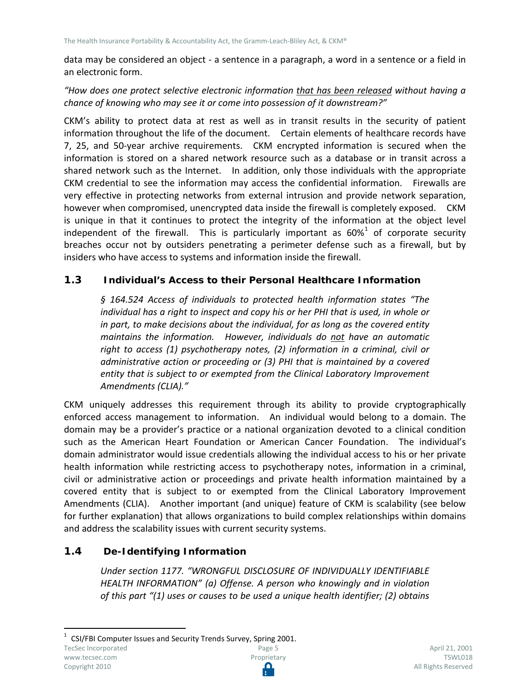data may be considered an object - a sentence in a paragraph, a word in a sentence or a field in an electronic form.

#### *"How does one protect selective electronic information that has been released without having a chance of knowing who may see it or come into possession of it downstream?"*

CKM's ability to protect data at rest as well as in transit results in the security of patient information throughout the life of the document. Certain elements of healthcare records have 7, 25, and 50-year archive requirements. CKM encrypted information is secured when the information is stored on a shared network resource such as a database or in transit across a shared network such as the Internet. In addition, only those individuals with the appropriate CKM credential to see the information may access the confidential information. Firewalls are very effective in protecting networks from external intrusion and provide network separation, however when compromised, unencrypted data inside the firewall is completely exposed. CKM is unique in that it continues to protect the integrity of the information at the object level independent of the firewall. This is particularly important as  $60\%$ <sup>[1](#page-4-2)</sup> of corporate security breaches occur not by outsiders penetrating a perimeter defense such as a firewall, but by insiders who have access to systems and information inside the firewall.

#### <span id="page-4-0"></span>**1.3 Individual's Access to their Personal Healthcare Information**

*§ 164.524 Access of individuals to protected health information states "The individual has a right to inspect and copy his or her PHI that is used, in whole or in part, to make decisions about the individual, for as long as the covered entity maintains the information. However, individuals do not have an automatic right to access (1) psychotherapy notes, (2) information in a criminal, civil or administrative action or proceeding or (3) PHI that is maintained by a covered entity that is subject to or exempted from the Clinical Laboratory Improvement Amendments (CLIA)."*

CKM uniquely addresses this requirement through its ability to provide cryptographically enforced access management to information. An individual would belong to a domain. The domain may be a provider's practice or a national organization devoted to a clinical condition such as the American Heart Foundation or American Cancer Foundation. The individual's domain administrator would issue credentials allowing the individual access to his or her private health information while restricting access to psychotherapy notes, information in a criminal, civil or administrative action or proceedings and private health information maintained by a covered entity that is subject to or exempted from the Clinical Laboratory Improvement Amendments (CLIA). Another important (and unique) feature of CKM is scalability (see below for further explanation) that allows organizations to build complex relationships within domains and address the scalability issues with current security systems.

## <span id="page-4-1"></span>**1.4 De-Identifying Information**

*Under section 1177. "WRONGFUL DISCLOSURE OF INDIVIDUALLY IDENTIFIABLE HEALTH INFORMATION" (a) Offense. A person who knowingly and in violation of this part "(1) uses or causes to be used a unique health identifier; (2) obtains* 

<span id="page-4-2"></span> $1$  CSI/FBI Computer Issues and Security Trends Survey, Spring 2001. TecSec Incorporated Page 5 [www.tecsec.com](http://www.tecsec.com/) Proprietary Copyright 2010 Ω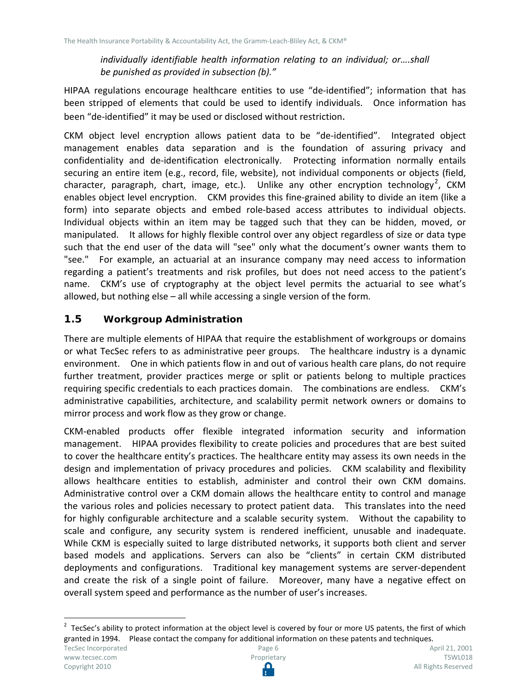*individually identifiable health information relating to an individual; or….shall be punished as provided in subsection (b)."* 

HIPAA regulations encourage healthcare entities to use "de-identified"; information that has been stripped of elements that could be used to identify individuals. Once information has been "de-identified" it may be used or disclosed without restriction.

CKM object level encryption allows patient data to be "de-identified". Integrated object management enables data separation and is the foundation of assuring privacy and confidentiality and de-identification electronically. Protecting information normally entails securing an entire item (e.g., record, file, website), not individual components or objects (field, character, paragraph, chart, image, etc.). Unlike any other encryption technology<sup>[2](#page-5-1)</sup>, CKM enables object level encryption. CKM provides this fine-grained ability to divide an item (like a form) into separate objects and embed role-based access attributes to individual objects. Individual objects within an item may be tagged such that they can be hidden, moved, or manipulated. It allows for highly flexible control over any object regardless of size or data type such that the end user of the data will "see" only what the document's owner wants them to "see." For example, an actuarial at an insurance company may need access to information regarding a patient's treatments and risk profiles, but does not need access to the patient's name. CKM's use of cryptography at the object level permits the actuarial to see what's allowed, but nothing else – all while accessing a single version of the form.

### <span id="page-5-0"></span>**1.5 Workgroup Administration**

There are multiple elements of HIPAA that require the establishment of workgroups or domains or what TecSec refers to as administrative peer groups. The healthcare industry is a dynamic environment. One in which patients flow in and out of various health care plans, do not require further treatment, provider practices merge or split or patients belong to multiple practices requiring specific credentials to each practices domain. The combinations are endless. CKM's administrative capabilities, architecture, and scalability permit network owners or domains to mirror process and work flow as they grow or change.

CKM-enabled products offer flexible integrated information security and information management. HIPAA provides flexibility to create policies and procedures that are best suited to cover the healthcare entity's practices. The healthcare entity may assess its own needs in the design and implementation of privacy procedures and policies. CKM scalability and flexibility allows healthcare entities to establish, administer and control their own CKM domains. Administrative control over a CKM domain allows the healthcare entity to control and manage the various roles and policies necessary to protect patient data. This translates into the need for highly configurable architecture and a scalable security system. Without the capability to scale and configure, any security system is rendered inefficient, unusable and inadequate. While CKM is especially suited to large distributed networks, it supports both client and server based models and applications. Servers can also be "clients" in certain CKM distributed deployments and configurations. Traditional key management systems are server-dependent and create the risk of a single point of failure. Moreover, many have a negative effect on overall system speed and performance as the number of user's increases.

<span id="page-5-1"></span> $2$  TecSec's ability to protect information at the object level is covered by four or more US patents, the first of which granted in 1994. Please contact the company for additional information on these patents and techniques.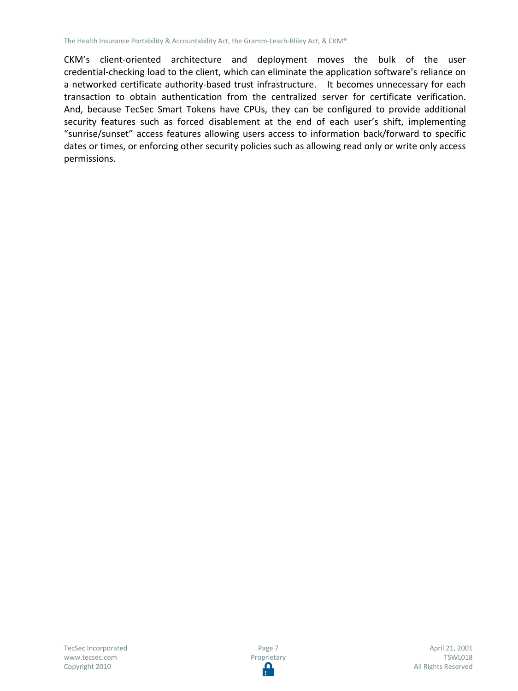CKM's client-oriented architecture and deployment moves the bulk of the user credential-checking load to the client, which can eliminate the application software's reliance on a networked certificate authority-based trust infrastructure. It becomes unnecessary for each transaction to obtain authentication from the centralized server for certificate verification. And, because TecSec Smart Tokens have CPUs, they can be configured to provide additional security features such as forced disablement at the end of each user's shift, implementing "sunrise/sunset" access features allowing users access to information back/forward to specific dates or times, or enforcing other security policies such as allowing read only or write only access permissions.

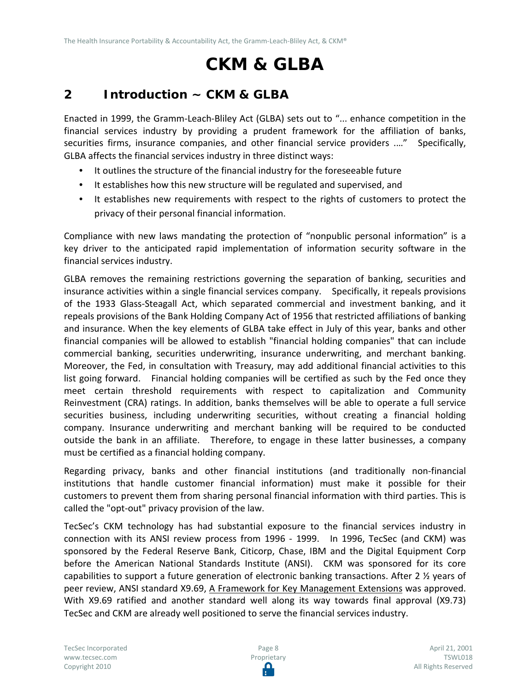# **CKM & GLBA**

# <span id="page-7-0"></span>**2 Introduction ~ CKM & GLBA**

Enacted in 1999, the Gramm-Leach-Bliley Act (GLBA) sets out to "... enhance competition in the financial services industry by providing a prudent framework for the affiliation of banks, securities firms, insurance companies, and other financial service providers ...." Specifically, GLBA affects the financial services industry in three distinct ways:

- It outlines the structure of the financial industry for the foreseeable future
- It establishes how this new structure will be regulated and supervised, and
- It establishes new requirements with respect to the rights of customers to protect the privacy of their personal financial information.

Compliance with new laws mandating the protection of "nonpublic personal information" is a key driver to the anticipated rapid implementation of information security software in the financial services industry.

GLBA removes the remaining restrictions governing the separation of banking, securities and insurance activities within a single financial services company. Specifically, it repeals provisions of the 1933 Glass-Steagall Act, which separated commercial and investment banking, and it repeals provisions of the Bank Holding Company Act of 1956 that restricted affiliations of banking and insurance. When the key elements of GLBA take effect in July of this year, banks and other financial companies will be allowed to establish "financial holding companies" that can include commercial banking, securities underwriting, insurance underwriting, and merchant banking. Moreover, the Fed, in consultation with Treasury, may add additional financial activities to this list going forward. Financial holding companies will be certified as such by the Fed once they meet certain threshold requirements with respect to capitalization and Community Reinvestment (CRA) ratings. In addition, banks themselves will be able to operate a full service securities business, including underwriting securities, without creating a financial holding company. Insurance underwriting and merchant banking will be required to be conducted outside the bank in an affiliate. Therefore, to engage in these latter businesses, a company must be certified as a financial holding company.

Regarding privacy, banks and other financial institutions (and traditionally non-financial institutions that handle customer financial information) must make it possible for their customers to prevent them from sharing personal financial information with third parties. This is called the "opt-out" privacy provision of the law.

TecSec's CKM technology has had substantial exposure to the financial services industry in connection with its ANSI review process from 1996 - 1999. In 1996, TecSec (and CKM) was sponsored by the Federal Reserve Bank, Citicorp, Chase, IBM and the Digital Equipment Corp before the American National Standards Institute (ANSI). CKM was sponsored for its core capabilities to support a future generation of electronic banking transactions. After 2 ½ years of peer review, ANSI standard X9.69, A Framework for Key Management Extensions was approved. With X9.69 ratified and another standard well along its way towards final approval (X9.73) TecSec and CKM are already well positioned to serve the financial services industry.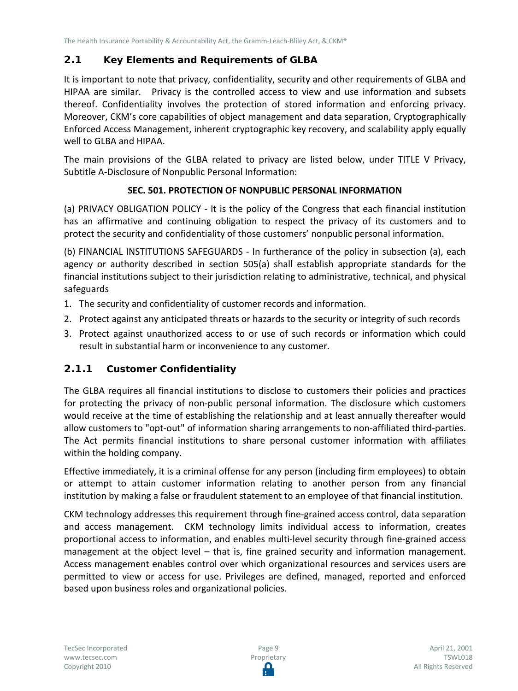# <span id="page-8-0"></span>**2.1 Key Elements and Requirements of GLBA**

It is important to note that privacy, confidentiality, security and other requirements of GLBA and HIPAA are similar. Privacy is the controlled access to view and use information and subsets thereof. Confidentiality involves the protection of stored information and enforcing privacy. Moreover, CKM's core capabilities of object management and data separation, Cryptographically Enforced Access Management, inherent cryptographic key recovery, and scalability apply equally well to GLBA and HIPAA.

The main provisions of the GLBA related to privacy are listed below, under TITLE V Privacy, Subtitle A-Disclosure of Nonpublic Personal Information:

#### **SEC. 501. PROTECTION OF NONPUBLIC PERSONAL INFORMATION**

(a) PRIVACY OBLIGATION POLICY - It is the policy of the Congress that each financial institution has an affirmative and continuing obligation to respect the privacy of its customers and to protect the security and confidentiality of those customers' nonpublic personal information.

(b) FINANCIAL INSTITUTIONS SAFEGUARDS - In furtherance of the policy in subsection (a), each agency or authority described in section 505(a) shall establish appropriate standards for the financial institutions subject to their jurisdiction relating to administrative, technical, and physical safeguards

- 1. The security and confidentiality of customer records and information.
- 2. Protect against any anticipated threats or hazards to the security or integrity of such records
- 3. Protect against unauthorized access to or use of such records or information which could result in substantial harm or inconvenience to any customer.

## <span id="page-8-1"></span>**2.1.1 Customer Confidentiality**

The GLBA requires all financial institutions to disclose to customers their policies and practices for protecting the privacy of non-public personal information. The disclosure which customers would receive at the time of establishing the relationship and at least annually thereafter would allow customers to "opt-out" of information sharing arrangements to non-affiliated third-parties. The Act permits financial institutions to share personal customer information with affiliates within the holding company.

Effective immediately, it is a criminal offense for any person (including firm employees) to obtain or attempt to attain customer information relating to another person from any financial institution by making a false or fraudulent statement to an employee of that financial institution.

CKM technology addresses this requirement through fine-grained access control, data separation and access management. CKM technology limits individual access to information, creates proportional access to information, and enables multi-level security through fine-grained access management at the object level – that is, fine grained security and information management. Access management enables control over which organizational resources and services users are permitted to view or access for use. Privileges are defined, managed, reported and enforced based upon business roles and organizational policies.

Page 9 Proprietary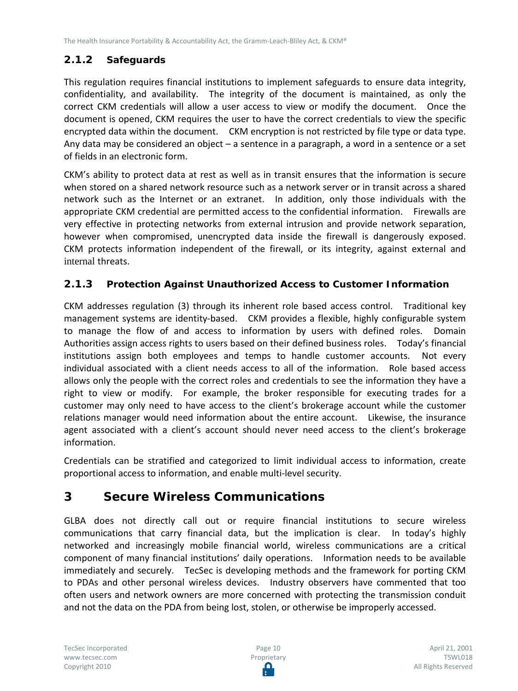# <span id="page-9-0"></span>**2.1.2 Safeguards**

This regulation requires financial institutions to implement safeguards to ensure data integrity, confidentiality, and availability. The integrity of the document is maintained, as only the correct CKM credentials will allow a user access to view or modify the document. Once the document is opened, CKM requires the user to have the correct credentials to view the specific encrypted data within the document. CKM encryption is not restricted by file type or data type. Any data may be considered an object – a sentence in a paragraph, a word in a sentence or a set of fields in an electronic form.

CKM's ability to protect data at rest as well as in transit ensures that the information is secure when stored on a shared network resource such as a network server or in transit across a shared network such as the Internet or an extranet. In addition, only those individuals with the appropriate CKM credential are permitted access to the confidential information. Firewalls are very effective in protecting networks from external intrusion and provide network separation, however when compromised, unencrypted data inside the firewall is dangerously exposed. CKM protects information independent of the firewall, or its integrity, against external and internal threats.

# <span id="page-9-1"></span>**2.1.3 Protection Against Unauthorized Access to Customer Information**

CKM addresses regulation (3) through its inherent role based access control. Traditional key management systems are identity-based. CKM provides a flexible, highly configurable system to manage the flow of and access to information by users with defined roles. Domain Authorities assign access rights to users based on their defined business roles. Today's financial institutions assign both employees and temps to handle customer accounts. Not every individual associated with a client needs access to all of the information. Role based access allows only the people with the correct roles and credentials to see the information they have a right to view or modify. For example, the broker responsible for executing trades for a customer may only need to have access to the client's brokerage account while the customer relations manager would need information about the entire account. Likewise, the insurance agent associated with a client's account should never need access to the client's brokerage information.

Credentials can be stratified and categorized to limit individual access to information, create proportional access to information, and enable multi-level security.

# <span id="page-9-2"></span>**3 Secure Wireless Communications**

GLBA does not directly call out or require financial institutions to secure wireless communications that carry financial data, but the implication is clear. In today's highly networked and increasingly mobile financial world, wireless communications are a critical component of many financial institutions' daily operations. Information needs to be available immediately and securely. TecSec is developing methods and the framework for porting CKM to PDAs and other personal wireless devices. Industry observers have commented that too often users and network owners are more concerned with protecting the transmission conduit and not the data on the PDA from being lost, stolen, or otherwise be improperly accessed.